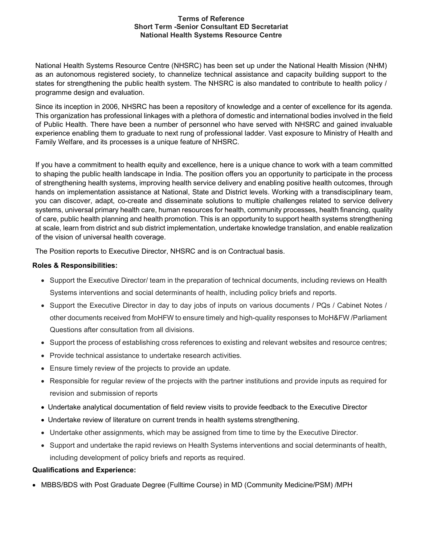## Terms of Reference Short Term -Senior Consultant ED Secretariat National Health Systems Resource Centre

National Health Systems Resource Centre (NHSRC) has been set up under the National Health Mission (NHM) as an autonomous registered society, to channelize technical assistance and capacity building support to the states for strengthening the public health system. The NHSRC is also mandated to contribute to health policy / programme design and evaluation.

Since its inception in 2006, NHSRC has been a repository of knowledge and a center of excellence for its agenda. This organization has professional linkages with a plethora of domestic and international bodies involved in the field of Public Health. There have been a number of personnel who have served with NHSRC and gained invaluable experience enabling them to graduate to next rung of professional ladder. Vast exposure to Ministry of Health and Family Welfare, and its processes is a unique feature of NHSRC.

If you have a commitment to health equity and excellence, here is a unique chance to work with a team committed to shaping the public health landscape in India. The position offers you an opportunity to participate in the process of strengthening health systems, improving health service delivery and enabling positive health outcomes, through hands on implementation assistance at National, State and District levels. Working with a transdisciplinary team, you can discover, adapt, co-create and disseminate solutions to multiple challenges related to service delivery systems, universal primary health care, human resources for health, community processes, health financing, quality of care, public health planning and health promotion. This is an opportunity to support health systems strengthening at scale, learn from district and sub district implementation, undertake knowledge translation, and enable realization of the vision of universal health coverage.

The Position reports to Executive Director, NHSRC and is on Contractual basis.

## Roles & Responsibilities:

- Support the Executive Director/ team in the preparation of technical documents, including reviews on Health Systems interventions and social determinants of health, including policy briefs and reports.
- Support the Executive Director in day to day jobs of inputs on various documents / PQs / Cabinet Notes / other documents received from MoHFW to ensure timely and high-quality responses to MoH&FW /Parliament Questions after consultation from all divisions.
- Support the process of establishing cross references to existing and relevant websites and resource centres;
- Provide technical assistance to undertake research activities.
- Ensure timely review of the projects to provide an update.
- Responsible for regular review of the projects with the partner institutions and provide inputs as required for revision and submission of reports
- Undertake analytical documentation of field review visits to provide feedback to the Executive Director
- Undertake review of literature on current trends in health systems strengthening.
- Undertake other assignments, which may be assigned from time to time by the Executive Director.
- Support and undertake the rapid reviews on Health Systems interventions and social determinants of health, including development of policy briefs and reports as required.

## Qualifications and Experience:

MBBS/BDS with Post Graduate Degree (Fulltime Course) in MD (Community Medicine/PSM) /MPH